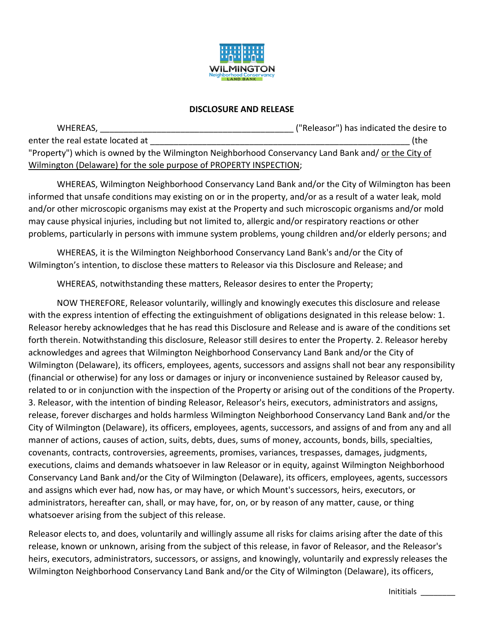

## **DISCLOSURE AND RELEASE**

| WHEREAS,                                                                                            | ("Releasor") has indicated the desire to |
|-----------------------------------------------------------------------------------------------------|------------------------------------------|
| enter the real estate located at                                                                    | (the                                     |
| "Property") which is owned by the Wilmington Neighborhood Conservancy Land Bank and/ or the City of |                                          |
| Wilmington (Delaware) for the sole purpose of PROPERTY INSPECTION;                                  |                                          |

WHEREAS, Wilmington Neighborhood Conservancy Land Bank and/or the City of Wilmington has been informed that unsafe conditions may existing on or in the property, and/or as a result of a water leak, mold and/or other microscopic organisms may exist at the Property and such microscopic organisms and/or mold may cause physical injuries, including but not limited to, allergic and/or respiratory reactions or other problems, particularly in persons with immune system problems, young children and/or elderly persons; and

WHEREAS, it is the Wilmington Neighborhood Conservancy Land Bank's and/or the City of Wilmington's intention, to disclose these matters to Releasor via this Disclosure and Release; and

WHEREAS, notwithstanding these matters, Releasor desires to enter the Property;

NOW THEREFORE, Releasor voluntarily, willingly and knowingly executes this disclosure and release with the express intention of effecting the extinguishment of obligations designated in this release below: 1. Releasor hereby acknowledges that he has read this Disclosure and Release and is aware of the conditions set forth therein. Notwithstanding this disclosure, Releasor still desires to enter the Property. 2. Releasor hereby acknowledges and agrees that Wilmington Neighborhood Conservancy Land Bank and/or the City of Wilmington (Delaware), its officers, employees, agents, successors and assigns shall not bear any responsibility (financial or otherwise) for any loss or damages or injury or inconvenience sustained by Releasor caused by, related to or in conjunction with the inspection of the Property or arising out of the conditions of the Property. 3. Releasor, with the intention of binding Releasor, Releasor's heirs, executors, administrators and assigns, release, forever discharges and holds harmless Wilmington Neighborhood Conservancy Land Bank and/or the City of Wilmington (Delaware), its officers, employees, agents, successors, and assigns of and from any and all manner of actions, causes of action, suits, debts, dues, sums of money, accounts, bonds, bills, specialties, covenants, contracts, controversies, agreements, promises, variances, trespasses, damages, judgments, executions, claims and demands whatsoever in law Releasor or in equity, against Wilmington Neighborhood Conservancy Land Bank and/or the City of Wilmington (Delaware), its officers, employees, agents, successors and assigns which ever had, now has, or may have, or which Mount's successors, heirs, executors, or administrators, hereafter can, shall, or may have, for, on, or by reason of any matter, cause, or thing whatsoever arising from the subject of this release.

Releasor elects to, and does, voluntarily and willingly assume all risks for claims arising after the date of this release, known or unknown, arising from the subject of this release, in favor of Releasor, and the Releasor's heirs, executors, administrators, successors, or assigns, and knowingly, voluntarily and expressly releases the Wilmington Neighborhood Conservancy Land Bank and/or the City of Wilmington (Delaware), its officers,